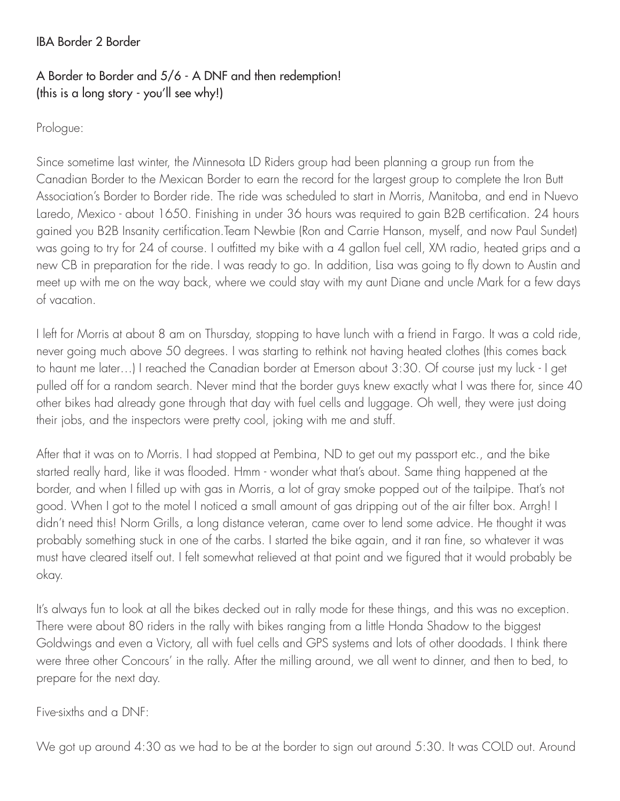## IBA Border 2 Border

## A Border to Border and 5/6 - A DNF and then redemption! (this is a long story - you'll see why!)

Prologue:

Since sometime last winter, the Minnesota LD Riders group had been planning a group run from the Canadian Border to the Mexican Border to earn the record for the largest group to complete the Iron Butt Association's Border to Border ride. The ride was scheduled to start in Morris, Manitoba, and end in Nuevo Laredo, Mexico - about 1650. Finishing in under 36 hours was required to gain B2B certification. 24 hours gained you B2B Insanity certification.Team Newbie (Ron and Carrie Hanson, myself, and now Paul Sundet) was going to try for 24 of course. I outfitted my bike with a 4 gallon fuel cell, XM radio, heated grips and a new CB in preparation for the ride. I was ready to go. In addition, Lisa was going to fly down to Austin and meet up with me on the way back, where we could stay with my aunt Diane and uncle Mark for a few days of vacation.

I left for Morris at about 8 am on Thursday, stopping to have lunch with a friend in Fargo. It was a cold ride, never going much above 50 degrees. I was starting to rethink not having heated clothes (this comes back to haunt me later…) I reached the Canadian border at Emerson about 3:30. Of course just my luck - I get pulled off for a random search. Never mind that the border guys knew exactly what I was there for, since 40 other bikes had already gone through that day with fuel cells and luggage. Oh well, they were just doing their jobs, and the inspectors were pretty cool, joking with me and stuff.

After that it was on to Morris. I had stopped at Pembina, ND to get out my passport etc., and the bike started really hard, like it was flooded. Hmm - wonder what that's about. Same thing happened at the border, and when I filled up with gas in Morris, a lot of gray smoke popped out of the tailpipe. That's not good. When I got to the motel I noticed a small amount of gas dripping out of the air filter box. Arrgh! I didn't need this! Norm Grills, a long distance veteran, came over to lend some advice. He thought it was probably something stuck in one of the carbs. I started the bike again, and it ran fine, so whatever it was must have cleared itself out. I felt somewhat relieved at that point and we figured that it would probably be okay.

It's always fun to look at all the bikes decked out in rally mode for these things, and this was no exception. There were about 80 riders in the rally with bikes ranging from a little Honda Shadow to the biggest Goldwings and even a Victory, all with fuel cells and GPS systems and lots of other doodads. I think there were three other Concours' in the rally. After the milling around, we all went to dinner, and then to bed, to prepare for the next day.

Five-sixths and a DNF:

We got up around 4:30 as we had to be at the border to sign out around 5:30. It was COLD out. Around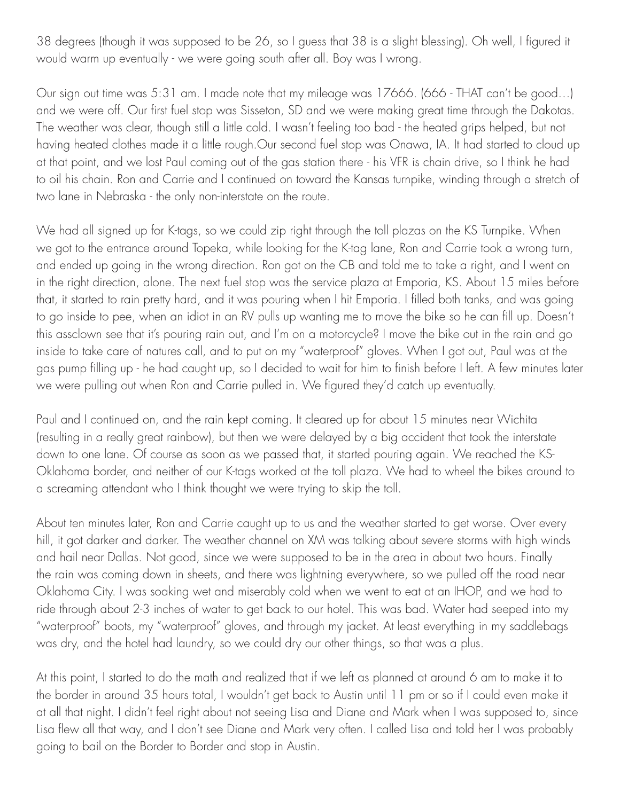38 degrees (though it was supposed to be 26, so I guess that 38 is a slight blessing). Oh well, I figured it would warm up eventually - we were going south after all. Boy was I wrong.

Our sign out time was 5:31 am. I made note that my mileage was 17666. (666 - THAT can't be good…) and we were off. Our first fuel stop was Sisseton, SD and we were making great time through the Dakotas. The weather was clear, though still a little cold. I wasn't feeling too bad - the heated grips helped, but not having heated clothes made it a little rough.Our second fuel stop was Onawa, IA. It had started to cloud up at that point, and we lost Paul coming out of the gas station there - his VFR is chain drive, so I think he had to oil his chain. Ron and Carrie and I continued on toward the Kansas turnpike, winding through a stretch of two lane in Nebraska - the only non-interstate on the route.

We had all signed up for K-tags, so we could zip right through the toll plazas on the KS Turnpike. When we got to the entrance around Topeka, while looking for the K-tag lane, Ron and Carrie took a wrong turn, and ended up going in the wrong direction. Ron got on the CB and told me to take a right, and I went on in the right direction, alone. The next fuel stop was the service plaza at Emporia, KS. About 15 miles before that, it started to rain pretty hard, and it was pouring when I hit Emporia. I filled both tanks, and was going to go inside to pee, when an idiot in an RV pulls up wanting me to move the bike so he can fill up. Doesn't this assclown see that it's pouring rain out, and I'm on a motorcycle? I move the bike out in the rain and go inside to take care of natures call, and to put on my "waterproof" gloves. When I got out, Paul was at the gas pump filling up - he had caught up, so I decided to wait for him to finish before I left. A few minutes later we were pulling out when Ron and Carrie pulled in. We figured they'd catch up eventually.

Paul and I continued on, and the rain kept coming. It cleared up for about 15 minutes near Wichita (resulting in a really great rainbow), but then we were delayed by a big accident that took the interstate down to one lane. Of course as soon as we passed that, it started pouring again. We reached the KS-Oklahoma border, and neither of our K-tags worked at the toll plaza. We had to wheel the bikes around to a screaming attendant who I think thought we were trying to skip the toll.

About ten minutes later, Ron and Carrie caught up to us and the weather started to get worse. Over every hill, it got darker and darker. The weather channel on XM was talking about severe storms with high winds and hail near Dallas. Not good, since we were supposed to be in the area in about two hours. Finally the rain was coming down in sheets, and there was lightning everywhere, so we pulled off the road near Oklahoma City. I was soaking wet and miserably cold when we went to eat at an IHOP, and we had to ride through about 2-3 inches of water to get back to our hotel. This was bad. Water had seeped into my "waterproof" boots, my "waterproof" gloves, and through my jacket. At least everything in my saddlebags was dry, and the hotel had laundry, so we could dry our other things, so that was a plus.

At this point, I started to do the math and realized that if we left as planned at around 6 am to make it to the border in around 35 hours total, I wouldn't get back to Austin until 11 pm or so if I could even make it at all that night. I didn't feel right about not seeing Lisa and Diane and Mark when I was supposed to, since Lisa flew all that way, and I don't see Diane and Mark very often. I called Lisa and told her I was probably going to bail on the Border to Border and stop in Austin.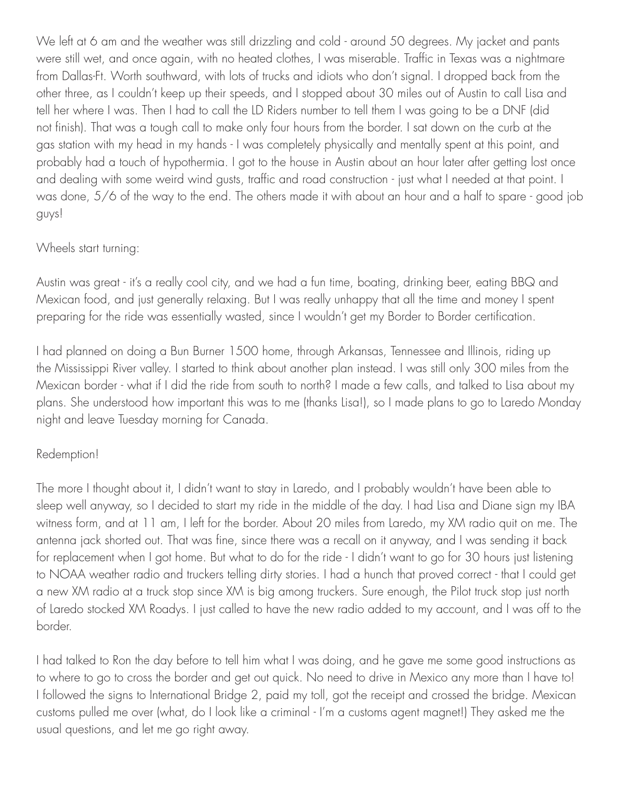We left at 6 am and the weather was still drizzling and cold - around 50 degrees. My jacket and pants were still wet, and once again, with no heated clothes, I was miserable. Traffic in Texas was a nightmare from Dallas-Ft. Worth southward, with lots of trucks and idiots who don't signal. I dropped back from the other three, as I couldn't keep up their speeds, and I stopped about 30 miles out of Austin to call Lisa and tell her where I was. Then I had to call the LD Riders number to tell them I was going to be a DNF (did not finish). That was a tough call to make only four hours from the border. I sat down on the curb at the gas station with my head in my hands - I was completely physically and mentally spent at this point, and probably had a touch of hypothermia. I got to the house in Austin about an hour later after getting lost once and dealing with some weird wind gusts, traffic and road construction - just what I needed at that point. I was done, 5/6 of the way to the end. The others made it with about an hour and a half to spare - good job guys!

## Wheels start turning:

Austin was great - it's a really cool city, and we had a fun time, boating, drinking beer, eating BBQ and Mexican food, and just generally relaxing. But I was really unhappy that all the time and money I spent preparing for the ride was essentially wasted, since I wouldn't get my Border to Border certification.

I had planned on doing a Bun Burner 1500 home, through Arkansas, Tennessee and Illinois, riding up the Mississippi River valley. I started to think about another plan instead. I was still only 300 miles from the Mexican border - what if I did the ride from south to north? I made a few calls, and talked to Lisa about my plans. She understood how important this was to me (thanks Lisa!), so I made plans to go to Laredo Monday night and leave Tuesday morning for Canada.

## Redemption!

The more I thought about it, I didn't want to stay in Laredo, and I probably wouldn't have been able to sleep well anyway, so I decided to start my ride in the middle of the day. I had Lisa and Diane sign my IBA witness form, and at 11 am, I left for the border. About 20 miles from Laredo, my XM radio quit on me. The antenna jack shorted out. That was fine, since there was a recall on it anyway, and I was sending it back for replacement when I got home. But what to do for the ride - I didn't want to go for 30 hours just listening to NOAA weather radio and truckers telling dirty stories. I had a hunch that proved correct - that I could get a new XM radio at a truck stop since XM is big among truckers. Sure enough, the Pilot truck stop just north of Laredo stocked XM Roadys. I just called to have the new radio added to my account, and I was off to the border.

I had talked to Ron the day before to tell him what I was doing, and he gave me some good instructions as to where to go to cross the border and get out quick. No need to drive in Mexico any more than I have to! I followed the signs to International Bridge 2, paid my toll, got the receipt and crossed the bridge. Mexican customs pulled me over (what, do I look like a criminal - I'm a customs agent magnet!) They asked me the usual questions, and let me go right away.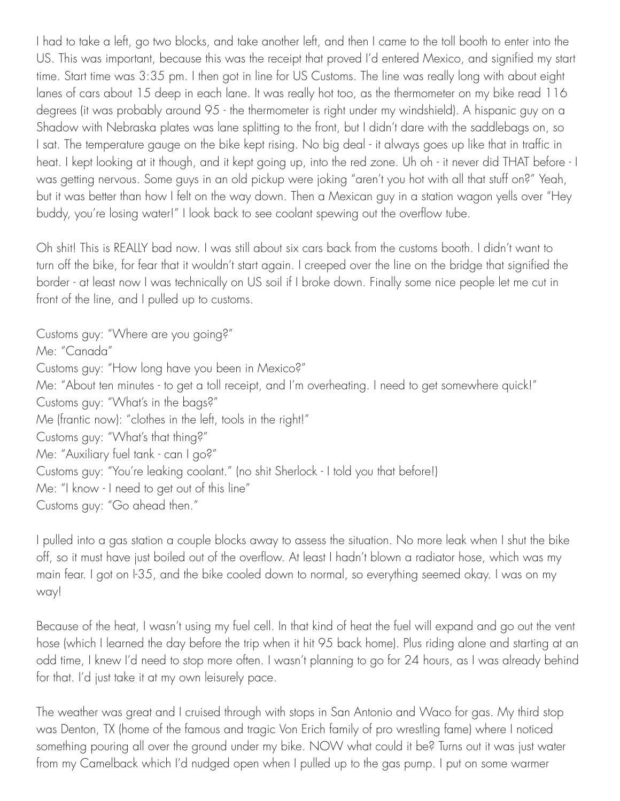I had to take a left, go two blocks, and take another left, and then I came to the toll booth to enter into the US. This was important, because this was the receipt that proved I'd entered Mexico, and signified my start time. Start time was 3:35 pm. I then got in line for US Customs. The line was really long with about eight lanes of cars about 15 deep in each lane. It was really hot too, as the thermometer on my bike read 116 degrees (it was probably around 95 - the thermometer is right under my windshield). A hispanic guy on a Shadow with Nebraska plates was lane splitting to the front, but I didn't dare with the saddlebags on, so I sat. The temperature gauge on the bike kept rising. No big deal - it always goes up like that in traffic in heat. I kept looking at it though, and it kept going up, into the red zone. Uh oh - it never did THAT before - I was getting nervous. Some guys in an old pickup were joking "aren't you hot with all that stuff on?" Yeah, but it was better than how I felt on the way down. Then a Mexican guy in a station wagon yells over "Hey buddy, you're losing water!" I look back to see coolant spewing out the overflow tube.

Oh shit! This is REALLY bad now. I was still about six cars back from the customs booth. I didn't want to turn off the bike, for fear that it wouldn't start again. I creeped over the line on the bridge that signified the border - at least now I was technically on US soil if I broke down. Finally some nice people let me cut in front of the line, and I pulled up to customs.

Customs guy: "Where are you going?" Me: "Canada" Customs guy: "How long have you been in Mexico?" Me: "About ten minutes - to get a toll receipt, and I'm overheating. I need to get somewhere quick!" Customs guy: "What's in the bags?" Me (frantic now): "clothes in the left, tools in the right!" Customs guy: "What's that thing?" Me: "Auxiliary fuel tank - can I go?" Customs guy: "You're leaking coolant." (no shit Sherlock - I told you that before!) Me: "I know - I need to get out of this line" Customs guy: "Go ahead then."

I pulled into a gas station a couple blocks away to assess the situation. No more leak when I shut the bike off, so it must have just boiled out of the overflow. At least I hadn't blown a radiator hose, which was my main fear. I got on I-35, and the bike cooled down to normal, so everything seemed okay. I was on my way!

Because of the heat, I wasn't using my fuel cell. In that kind of heat the fuel will expand and go out the vent hose (which I learned the day before the trip when it hit 95 back home). Plus riding alone and starting at an odd time, I knew I'd need to stop more often. I wasn't planning to go for 24 hours, as I was already behind for that. I'd just take it at my own leisurely pace.

The weather was great and I cruised through with stops in San Antonio and Waco for gas. My third stop was Denton, TX (home of the famous and tragic Von Erich family of pro wrestling fame) where I noticed something pouring all over the ground under my bike. NOW what could it be? Turns out it was just water from my Camelback which I'd nudged open when I pulled up to the gas pump. I put on some warmer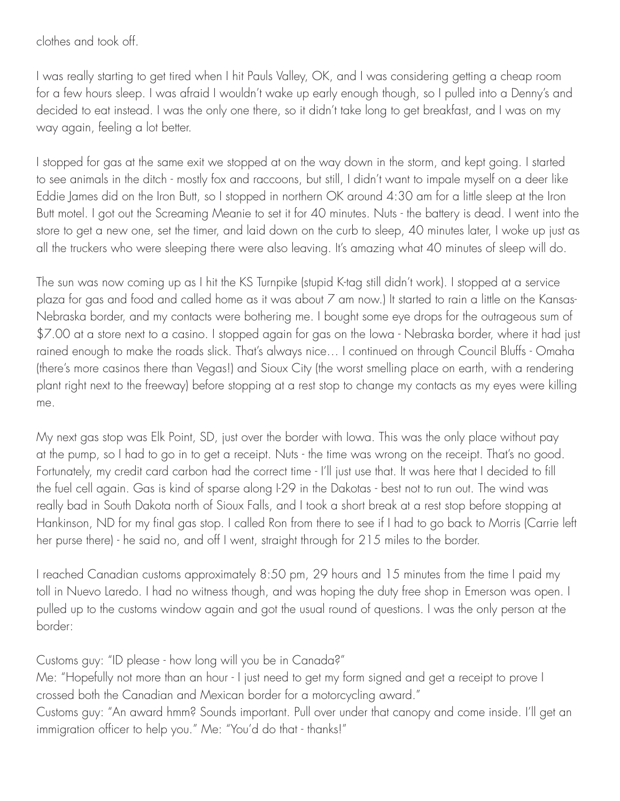clothes and took off.

I was really starting to get tired when I hit Pauls Valley, OK, and I was considering getting a cheap room for a few hours sleep. I was afraid I wouldn't wake up early enough though, so I pulled into a Denny's and decided to eat instead. I was the only one there, so it didn't take long to get breakfast, and I was on my way again, feeling a lot better.

I stopped for gas at the same exit we stopped at on the way down in the storm, and kept going. I started to see animals in the ditch - mostly fox and raccoons, but still, I didn't want to impale myself on a deer like Eddie James did on the Iron Butt, so I stopped in northern OK around 4:30 am for a little sleep at the Iron Butt motel. I got out the Screaming Meanie to set it for 40 minutes. Nuts - the battery is dead. I went into the store to get a new one, set the timer, and laid down on the curb to sleep, 40 minutes later, I woke up just as all the truckers who were sleeping there were also leaving. It's amazing what 40 minutes of sleep will do.

The sun was now coming up as I hit the KS Turnpike (stupid K-tag still didn't work). I stopped at a service plaza for gas and food and called home as it was about 7 am now.) It started to rain a little on the Kansas-Nebraska border, and my contacts were bothering me. I bought some eye drops for the outrageous sum of \$7.00 at a store next to a casino. I stopped again for gas on the Iowa - Nebraska border, where it had just rained enough to make the roads slick. That's always nice… I continued on through Council Bluffs - Omaha (there's more casinos there than Vegas!) and Sioux City (the worst smelling place on earth, with a rendering plant right next to the freeway) before stopping at a rest stop to change my contacts as my eyes were killing me.

My next gas stop was Elk Point, SD, just over the border with Iowa. This was the only place without pay at the pump, so I had to go in to get a receipt. Nuts - the time was wrong on the receipt. That's no good. Fortunately, my credit card carbon had the correct time - I'll just use that. It was here that I decided to fill the fuel cell again. Gas is kind of sparse along I-29 in the Dakotas - best not to run out. The wind was really bad in South Dakota north of Sioux Falls, and I took a short break at a rest stop before stopping at Hankinson, ND for my final gas stop. I called Ron from there to see if I had to go back to Morris (Carrie left her purse there) - he said no, and off I went, straight through for 215 miles to the border.

I reached Canadian customs approximately 8:50 pm, 29 hours and 15 minutes from the time I paid my toll in Nuevo Laredo. I had no witness though, and was hoping the duty free shop in Emerson was open. I pulled up to the customs window again and got the usual round of questions. I was the only person at the border:

Customs guy: "ID please - how long will you be in Canada?"

Me: "Hopefully not more than an hour - I just need to get my form signed and get a receipt to prove I crossed both the Canadian and Mexican border for a motorcycling award."

Customs guy: "An award hmm? Sounds important. Pull over under that canopy and come inside. I'll get an immigration officer to help you." Me: "You'd do that - thanks!"